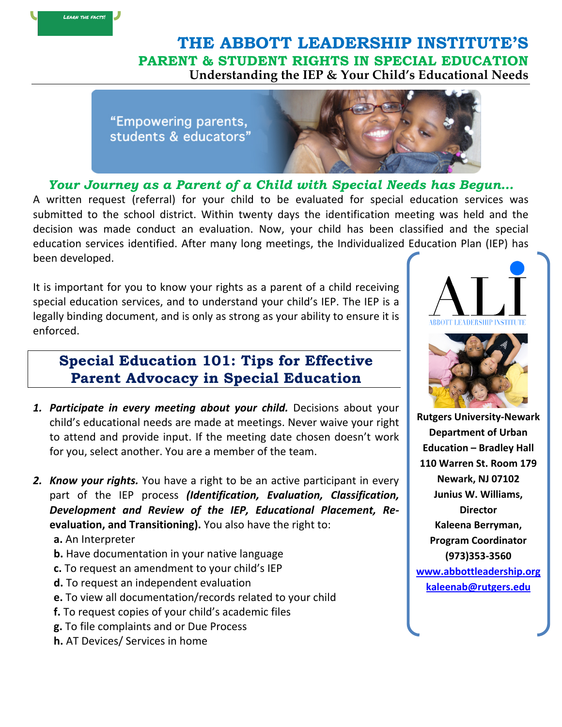## **THE ABBOTT LEADERSHIP INSTITUTE'S PARENT & STUDENT RIGHTS IN SPECIAL EDUCATION Understanding the IEP & Your Child's Educational Needs**

"Empowering parents, students & educators"



*Your Journey as a Parent of a Child with Special Needs has Begun…* A written request (referral) for your child to be evaluated for special education services was submitted to the school district. Within twenty days the identification meeting was held and the decision was made conduct an evaluation. Now, your child has been classified and the special education services identified. After many long meetings, the Individualized Education Plan (IEP) has been developed. 

It is important for you to know your rights as a parent of a child receiving special education services, and to understand your child's IEP. The IEP is a legally binding document, and is only as strong as your ability to ensure it is enforced. 

## **Special Education 101: Tips for Effective Parent Advocacy in Special Education**

- **1. Participate in every meeting about your child.** Decisions about your child's educational needs are made at meetings. Never waive your right to attend and provide input. If the meeting date chosen doesn't work for you, select another. You are a member of the team.
- **2.** *Know your rights.* You have a right to be an active participant in every part of the IEP process *(Identification, Evaluation, Classification,* Development and Review of the IEP, Educational Placement, Re**evaluation, and Transitioning).** You also have the right to:
	- a. An Interpreter
	- **b.** Have documentation in your native language
	- **c.** To request an amendment to your child's IEP
	- **d.** To request an independent evaluation
	- **e.** To view all documentation/records related to your child
	- **f.** To request copies of your child's academic files
	- **g.** To file complaints and or Due Process
	- **h.** AT Devices/ Services in home





**Rutgers University-Newark Department of Urban Education – Bradley Hall 110 Warren St. Room 179 Newark, NJ 07102 Junius W. Williams, Director Kaleena Berryman, Program Coordinator (973)353-3560 www.abbottleadership.org kaleenab@rutgers.edu**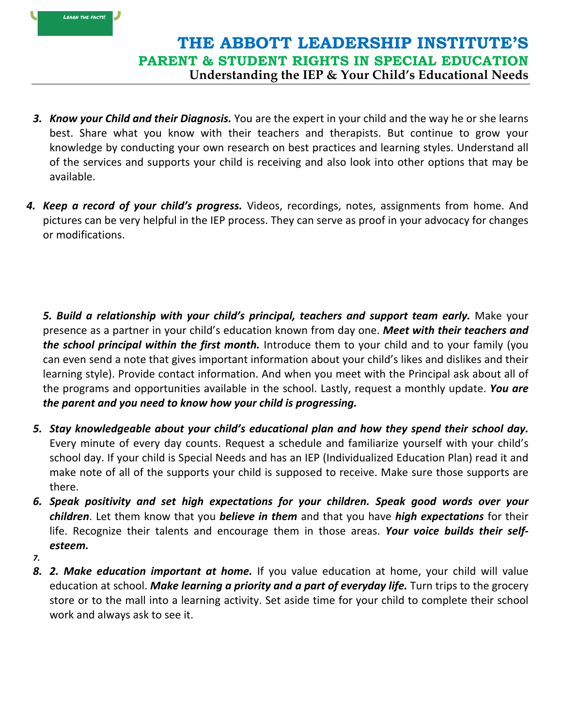## **THE ABBOTT LEADERSHIP INSTITUTE'S PARENT & STUDENT RIGHTS IN SPECIAL EDUCATION Understanding the IEP & Your Child's Educational Needs**

- **3.** *Know your Child and their Diagnosis.* You are the expert in your child and the way he or she learns best. Share what you know with their teachers and therapists. But continue to grow your knowledge by conducting your own research on best practices and learning styles. Understand all of the services and supports your child is receiving and also look into other options that may be available.
- **4.** *Keep a record of your child's progress.* Videos, recordings, notes, assignments from home. And pictures can be very helpful in the IEP process. They can serve as proof in your advocacy for changes or modifications.

**5. Build a relationship with your child's principal, teachers and support team early.** Make your presence as a partner in your child's education known from day one. **Meet with their teachers and the school principal within the first month.** Introduce them to your child and to your family (you can even send a note that gives important information about your child's likes and dislikes and their learning style). Provide contact information. And when you meet with the Principal ask about all of the programs and opportunities available in the school. Lastly, request a monthly update. You are *the parent and you need to know how your child is progressing.* 

- *5. Stay knowledgeable about your child's educational plan and how they spend their school day.* Every minute of every day counts. Request a schedule and familiarize yourself with your child's school day. If your child is Special Needs and has an IEP (Individualized Education Plan) read it and make note of all of the supports your child is supposed to receive. Make sure those supports are there.
- *6. Speak positivity and set high expectations for your children. Speak good words over your children*. Let them know that you **believe in them** and that you have *high expectations* for their life. Recognize their talents and encourage them in those areas. Your voice builds their self*esteem.*
- *7.*

LEARN THE FACTS!

**8. 2.** Make education important at home. If you value education at home, your child will value education at school. *Make learning a priority and a part of everyday life*. Turn trips to the grocery store or to the mall into a learning activity. Set aside time for your child to complete their school work and always ask to see it.